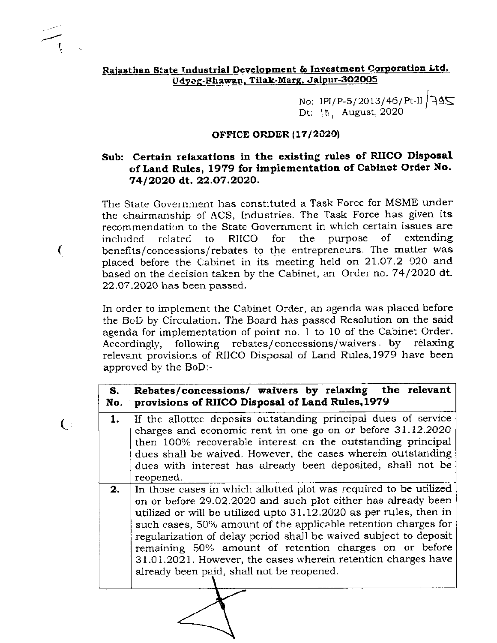## Rajasthan State Industrial Development & Investment Corporation Ltd. Udyog-Bhawan, Tilak-Marg, Jaipur-302005

No: IPI/P-5/2013/46/Pt-II  $\sqrt{495}$ <br>Dt: 10, August, 2020

#### OFFICE ORDER (17/2020)

## Sub: Certain relaxations in the existing rules of RIICO Disposal of Land Rules, 1979 for implementation of Cabinet Order No. 74/2020 dt. 22.07.2020.

The State Government has constituted a Task Force for MSME under the chairmanship of ACS, Industries. The Task Force has given its recommendation to the State Government in which certain issues are **RIICO** for  $the$ purpose of extending included related to benefits/concessions/rebates to the entrepreneurs. The matter was placed before the Cabinet in its meeting held on 21.07.2 020 and based on the decision taken by the Cabinet, an Order no. 74/2020 dt. 22.07.2020 has been passed.

€

 $\left( \begin{array}{c} \cdot \end{array} \right)$ 

In order to implement the Cabinet Order, an agenda was placed before the BoD by Circulation. The Board has passed Resolution on the said agenda for implementation of point no. 1 to 10 of the Cabinet Order. Accordingly, following rebates/concessions/waivers by relaxing relevant provisions of RIICO Disposal of Land Rules, 1979 have been approved by the BoD:-

| S.<br>No. | Rebates/concessions/ waivers by relaxing the relevant<br>provisions of RHCO Disposal of Land Rules, 1979                                                                                                                                                                                                                                                                                                                                                                                                                |  |  |  |
|-----------|-------------------------------------------------------------------------------------------------------------------------------------------------------------------------------------------------------------------------------------------------------------------------------------------------------------------------------------------------------------------------------------------------------------------------------------------------------------------------------------------------------------------------|--|--|--|
| 1.        | If the allottee deposits outstanding principal dues of service<br>charges and economic rent in one go on or before 31.12.2020<br>then 100% recoverable interest on the outstanding principal<br>dues shall be waived. However, the cases wherein outstanding<br>dues with interest has already been deposited, shall not be<br>reopened.                                                                                                                                                                                |  |  |  |
| 2.        | In those cases in which allotted plot was required to be utilized<br>on or before 29.02.2020 and such plot either has already been<br>utilized or will be utilized upto 31.12.2020 as per rules, then in<br>such cases, 50% amount of the applicable retention charges for<br>regularization of delay period shall be waived subject to deposit<br>remaining 50% amount of retention charges on or before<br>31.01.2021. However, the cases wherein retention charges have<br>already been paid, shall not be reopened. |  |  |  |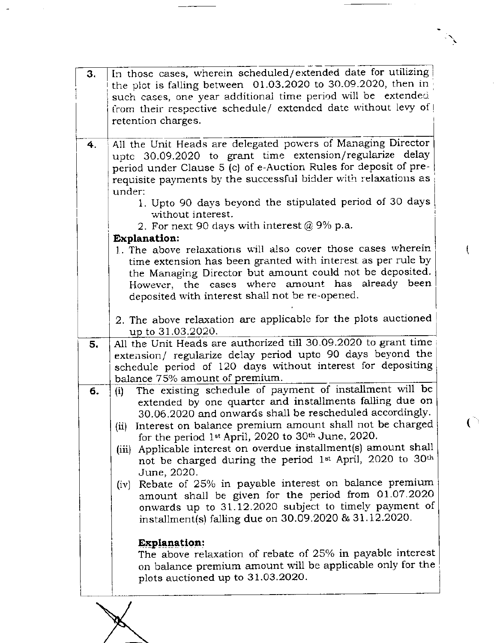| 3. | In those cases, wherein scheduled/extended date for utilizing              |  |  |  |  |  |
|----|----------------------------------------------------------------------------|--|--|--|--|--|
|    | the plot is falling between $[01.03, 2020]$ to 30.09.2020, then in         |  |  |  |  |  |
|    |                                                                            |  |  |  |  |  |
|    | such cases, one year additional time period will be extended               |  |  |  |  |  |
|    | from their respective schedule/ extended date without levy of              |  |  |  |  |  |
|    | retention charges.                                                         |  |  |  |  |  |
|    |                                                                            |  |  |  |  |  |
| 4. | All the Unit Heads are delegated powers of Managing Director               |  |  |  |  |  |
|    | upte 30.09.2020 to grant time extension/regularize delay                   |  |  |  |  |  |
|    | period under Clause 5 (c) of e-Auction Rules for deposit of pre-           |  |  |  |  |  |
|    | requisite payments by the successful bidder with relaxations as            |  |  |  |  |  |
|    | under:                                                                     |  |  |  |  |  |
|    | 1. Upto 90 days beyond the stipulated period of 30 days                    |  |  |  |  |  |
|    |                                                                            |  |  |  |  |  |
|    | without interest.                                                          |  |  |  |  |  |
|    | 2. For next 90 days with interest $@9\%$ p.a.                              |  |  |  |  |  |
|    | <b>Explanation:</b>                                                        |  |  |  |  |  |
|    | 1. The above relaxations will also cover those cases wherein               |  |  |  |  |  |
|    | time extension has been granted with interest as per rule by               |  |  |  |  |  |
|    | the Managing Director but amount could not be deposited.                   |  |  |  |  |  |
|    | However, the cases where amount has already been                           |  |  |  |  |  |
|    | deposited with interest shall not be re-opened.                            |  |  |  |  |  |
|    |                                                                            |  |  |  |  |  |
|    | 2. The above relaxation are applicable for the plots auctioned             |  |  |  |  |  |
|    | up to 31,03.2020.                                                          |  |  |  |  |  |
|    |                                                                            |  |  |  |  |  |
| 5. | All the Unit Heads are authorized till 30.09.2020 to grant time            |  |  |  |  |  |
|    | extension/ regularize delay period upto 90 days beyond the                 |  |  |  |  |  |
|    | schedule period of 120 days without interest for depositing                |  |  |  |  |  |
|    | balance 75% amount of premium.                                             |  |  |  |  |  |
| 6. | The existing schedule of payment of installment will be<br>(i)             |  |  |  |  |  |
|    | extended by one quarter and installments falling due on                    |  |  |  |  |  |
|    | 30.06.2020 and onwards shall be rescheduled accordingly.                   |  |  |  |  |  |
|    | (ii) Interest on balance premium amount shall not be charged               |  |  |  |  |  |
|    | for the period 1 <sup>st</sup> April, 2020 to 30 <sup>th</sup> June, 2020. |  |  |  |  |  |
|    | (iii) Applicable interest on overdue installment(s) amount shall           |  |  |  |  |  |
|    | not be charged during the period 1st April, 2020 to 30th                   |  |  |  |  |  |
|    |                                                                            |  |  |  |  |  |
|    | June, 2020.                                                                |  |  |  |  |  |
|    | Rebate of 25% in payable interest on balance premium<br>(iv)               |  |  |  |  |  |
|    | amount shall be given for the period from 01.07.2020                       |  |  |  |  |  |
|    | onwards up to 31.12.2020 subject to timely payment of                      |  |  |  |  |  |
|    | installment(s) falling due on 30.09.2020 & 31.12.2020.                     |  |  |  |  |  |
|    |                                                                            |  |  |  |  |  |
|    | <b>Explanation:</b>                                                        |  |  |  |  |  |
|    | The above relaxation of rebate of 25% in payable interest                  |  |  |  |  |  |
|    | on balance premium amount will be applicable only for the                  |  |  |  |  |  |
|    | plots auctioned up to 31.03.2020.                                          |  |  |  |  |  |
|    |                                                                            |  |  |  |  |  |

发

ţ

 $\overline{C}$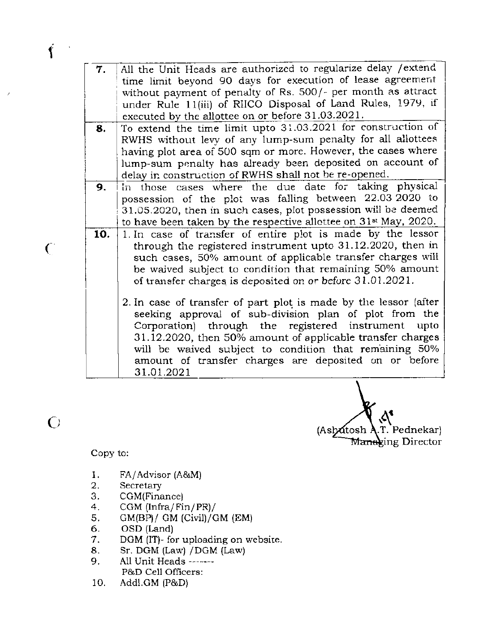| 7. | All the Unit Heads are authorized to regularize delay / extend |
|----|----------------------------------------------------------------|
|    | time limit beyond 90 days for execution of lease agreement     |
|    | without payment of penalty of Rs. 500/- per month as attract   |
|    | under Rule 11(iii) of RIICO Disposal of Land Rules, 1979, if   |
|    | executed by the allottee on or before 31.03.2021.              |
|    | $m = \sqrt{1 + 1 + 1 + 1}$                                     |

- a. To extend the time limit upto 31.03.2021 for construction of RWHS without levy of any lump-sum penalty for all allottees having plot area of 500 sqm or more. However, the cases where lump-sum penalty has already been deposited on account of delay in construction of RWHS shall not be re-opened.
- 9. in those cases where the due date for taking physical possession of the plot was falling between 22.03 2020 to 31.05.2020, then in such cases, plot possession will be deemcd to have been taken by the respective allottee on 31<sup>st</sup> May, 2020.
- lo. 1.In case of transfer of entire plot is made by the lessor through the registered instrument upto 31.12.2020, then insuch cases, 50% amount of applicable transfer charges will be waived subject to condition that remaining 50% amount of transfer charges is deposited on or before 31.01.2021.
	- 2. In case of transfer of part plot is made by the lessor (aiter seeking approval of sub-division plan of plot from the Corporation) through the registered instrument upto  $31.12.2020$ , then  $50\%$  amount of applicable transfer charges will be waived subject to condition that remaining 50% amount of transfer charges are deposited on or before 31.01.2021

(Ashatosh A.T. Pednekar) M<del>ana</del>xing Director

Copy to:

 $\bigodot$ 

 $\mathcal{C}$ 

I I

- t. FA/Advisor (A&M)
- 2. Secretary
- 3. CGM(Finance)
- 4. CCM (lnfra/ Fin/ PR)/
- 5. GM(BP)/ GM (civil)/cM (EM)
- 6. OSD (Land)
- 7. DGM (IT)- for uploading on website.
- 8. Sr. DGM (Law) / DGM (Law)
- 9. A1l Unit Heads -- ---- P&D Cell Officers:
- 10. Addl.GM {P&D)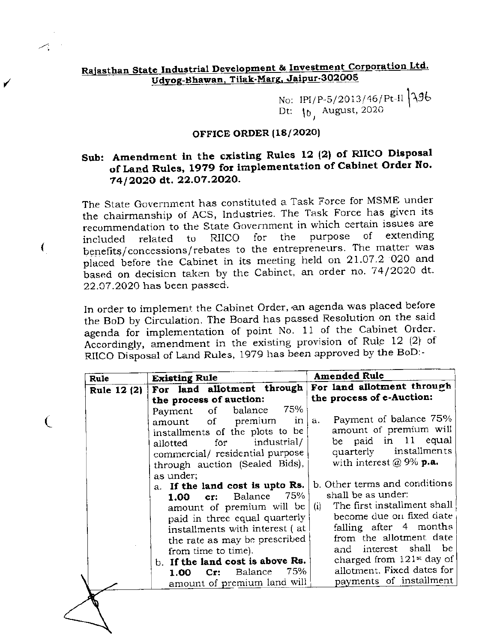# Rajasthan State Industrial Development & Investment Corporation Ltd. Udyog-Bhawan, Tilak-Marg, Jaipur-302005

No: IPI/P-5/2013/46/Pt-II  $396$ <br>Dt:  $10^{6}$  August, 2020

#### **OFFICE ORDER (18/2020)**

# Sub: Amendment in the existing Rules 12 (2) of RIICO Disposal of Land Rules, 1979 for implementation of Cabinet Order No. 74/2020 dt. 22.07.2020.

The State Government has constituted a Task Force for MSME under the chairmanship of ACS, Industries. The Task Force has given its recommendation to the State Government in which certain issues are purpose of extending the **RIICO** for related to included benefits/concessions/rebates to the entrepreneurs. The matter was placed before the Cabinet in its meeting held on 21.07.2 020 and based on decision taken by the Cabinet, an order no. 74/2020 dt. 22.07.2020 has been passed.

€

€

In order to implement the Cabinet Order, an agenda was placed before the BoD by Circulation. The Board has passed Resolution on the said agenda for implementation of point No. 11 of the Cabinet Order. Accordingly, amendment in the existing provision of Rule 12 (2) of RIICO Disposal of Land Rules, 1979 has been approved by the BoD:-

| Rule               |
|--------------------|
| <b>Rule 12 (2)</b> |
|                    |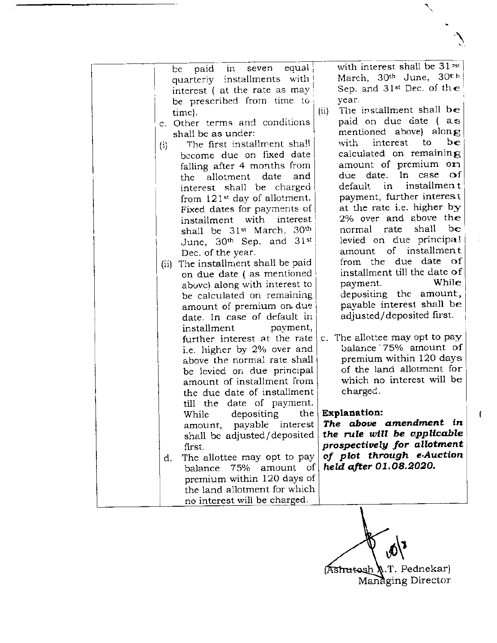| in seven equal<br>paid<br>be                             | with interest shall be 31 <sup>st</sup>      |
|----------------------------------------------------------|----------------------------------------------|
| quarterly installments with                              | March, 30th June, 30th                       |
| interest (at the rate as may                             | Sep. and 31st Dec. of the                    |
| be prescribed from time to                               | year.                                        |
| time}.                                                   | The installment shall be<br>(ii)             |
| c. Other terms and conditions                            | paid on due date (as                         |
| shall be as under:                                       | mentioned above) along                       |
| The first installment shall<br>$\{i\}$                   | be<br>interest<br>to<br>with                 |
| become due on fixed date                                 | calculated on remaining                      |
| falling after 4 months from                              | amount of premium on                         |
| date<br>and<br>allotment<br>the                          | $\circ$ f<br>due date. In case               |
| interest shall be charged                                | installmen t<br>default in                   |
| from 121 <sup>st</sup> day of allotment.                 | payment, further interest                    |
| Fixed dates for payments of                              | at the rate i.e. higher by                   |
| installment with interest                                | 2% over and above the                        |
| shall be 31 <sup>st</sup> March, 30 <sup>th</sup>        | be<br>shall<br>normal rate                   |
| June, $30th$ Sep. and $31st$                             | levied on due principal                      |
| Dec. of the year.                                        | amount of installment                        |
| (ii) The installment shall be paid                       | from the due date of                         |
| on due date (as mentioned                                | installment till the date of                 |
| above) along with interest to                            | While<br>payment.                            |
| be calculated on remaining                               | depositing the amount,                       |
| amount of premium on due                                 | payable interest shall be                    |
| date. In case of default in                              | adjusted/deposited first.                    |
| payment,<br>installment                                  |                                              |
| further interest at the rate                             | c. The allottee may opt to pay               |
| i.e. higher by 2% over and                               | balance 75% amount of                        |
| above the normal rate shall                              | premium within 120 days                      |
|                                                          | of the land allotment for                    |
| be levied on due principal<br>amount of installment from | which no interest will be                    |
|                                                          | charged.                                     |
| the due date of installment                              |                                              |
| till the date of payment.                                |                                              |
| depositing<br>While                                      | the   Explanation:<br>The above amendment in |
| amount, payable interest                                 | the rule will be applicable                  |
| shall be adjusted/deposited                              |                                              |
| first.                                                   | prospectively for allotment                  |
| The allottee may opt to pay<br>d.                        | of plot through e-Auction                    |
| balance<br>75% amount of                                 | held after 01.08.2020.                       |
| premium within 120 days of                               |                                              |
| the land allotment for which                             |                                              |
| no interest will be charged.                             |                                              |

 $\sqrt{\delta}$ 

Ashutosh A.T. Pednekar)<br>Managing Director

 $\mathbf{r}$ 

 $\sum_{i=1}^{n}$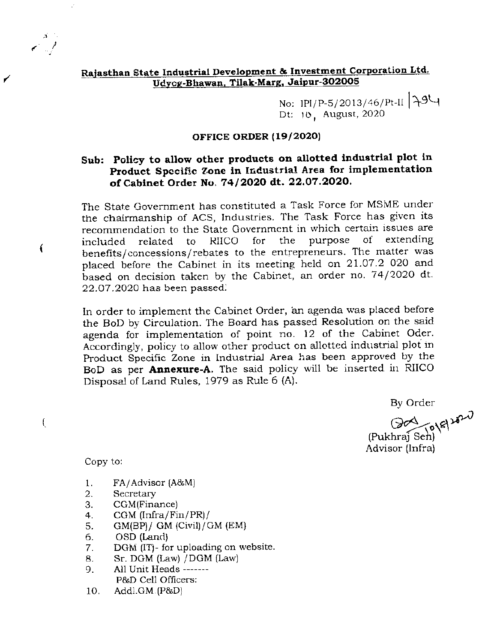### Rajasthan State Industrial Development & Investment Corporation Ltd. Udvcg-Bhawan, Tilak-Marg, Jaipur-302005

No: IPI/P-5/2013/46/Pt-II 794 Dt: 10, August, 2020

#### OFFICE ORDER (19/2020)

## Sub: Policy to allow other products on allotted industrial plot in Product Specific Zone in Industrial Area for implementation of Cabinet Order No. 74/2020 dt. 22.07.2020.

The State Government has constituted a Task Force for MSME under the chairmanship of ACS, Industries. The Task Force has given its recommendation to the State Government in which certain issues are purpose of extending included related to **RIICO** for the benefits/concessions/rebates to the entrepreneurs. The matter was placed before the Cabinet in its meeting held on 21.07.2 020 and based on decision taken by the Cabinet, an order no. 74/2020 dt. 22.07.2020 has been passed.

In order to implement the Cabinet Order, an agenda was placed before the BoD by Circulation. The Board has passed Resolution on the said agenda for implementation of point no. 12 of the Cabinet Oder. Accordingly, policy to allow other product on allotted industrial plot in Product Specific Zone in Industrial Area has been approved by the BoD as per **Annexure-A**. The said policy will be inserted in RIICO Disposal of Land Rules, 1979 as Rule 6 (A).

By Order

Don Tolel 2020 (Pukhraj Sen) Advisor (Infra)

Copy to:

€

€

- 1. FA/Advisor (A&M)
- 2. Secretary
- 3. CGM(Finance)
- $4.$ CGM  $[Infra/Fin/PR]$ /
- $GM(BP)/ GM$  (Civil)/GM (EM) 5.
- OSD (Land) 6.
- DGM (IT)- for uploading on website. 7.
- Sr. DGM (Law) / DGM (Law) 8.
- All Unit Heads -------9. P&D Cell Officers:
- 10. Addl.GM (P&D)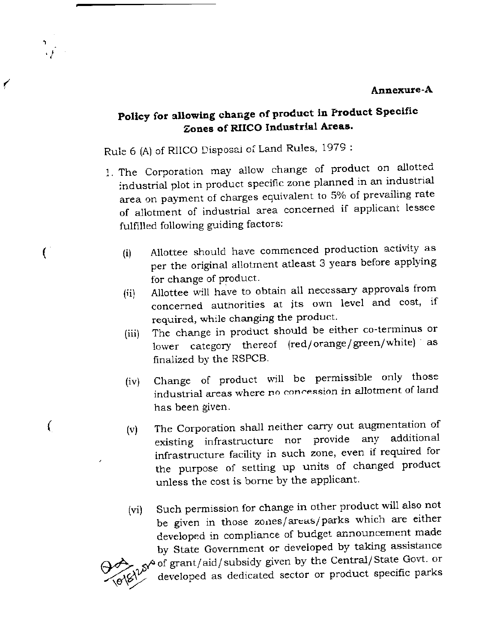#### Annexure-A

€

 $\left($ 

V

# Policy for allowing change of product in Product Specific Zones of RIICO Industrial Areas.

Rule 6 (A) of RIICO Disposal of Land Rules, 1979 :

- 1. The Corporation may allow change of product on allotted industrial plot in product specific zone planned in an industrial area on payment of charges equivalent to 5% of prevailing rate of allotment of industrial area concerned if applicant lessee fulfilled following guiding factors:
	- Allottee should have commenced production activity as  $(i)$ per the original allotment atleast 3 years before applying for change of product.
	- Allottee will have to obtain all necessary approvals from  $(ii)$ concerned authorities at its own level and cost, if required, while changing the product.
	- The change in product should be either co-terminus or  $(iii)$ lower category thereof (red/orange/green/white) as finalized by the RSPCB.
	- Change of product will be permissible only those  $(iv)$ industrial areas where no concession in allotment of land has been given.
	- The Corporation shall neither carry out augmentation of  $(v)$ existing infrastructure nor provide any additional infrastructure facility in such zone, even if required for the purpose of setting up units of changed product unless the cost is borne by the applicant.
	- Such permission for change in other product will also not  $(vi)$ be given in those zones/areas/parks which are either developed in compliance of budget announcement made by State Government or developed by taking assistance of grant/aid/subsidy given by the Central/State Govt. or developed as dedicated sector or product specific parks